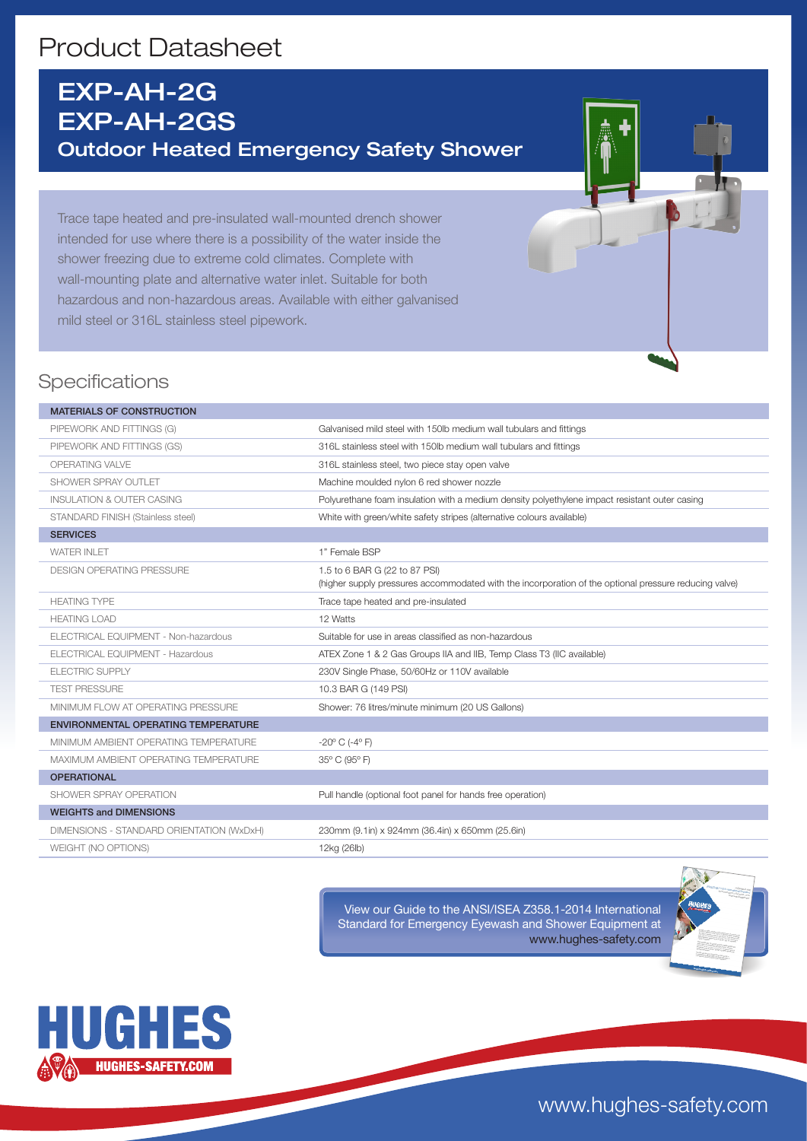# Product Datasheet

# EXP-AH-2G EXP-AH-2GS Outdoor Heated Emergency Safety Shower

Trace tape heated and pre-insulated wall-mounted drench shower intended for use where there is a possibility of the water inside the shower freezing due to extreme cold climates. Complete with wall-mounting plate and alternative water inlet. Suitable for both hazardous and non-hazardous areas. Available with either galvanised mild steel or 316L stainless steel pipework.

## **Specifications**

#### MATERIALS OF CONSTRUCTION PIPEWORK AND FITTINGS (G) Galvanised mild steel with 150lb medium wall tubulars and fittings PIPEWORK AND FITTINGS (GS) 316L stainless steel with 150lb medium wall tubulars and fittings OPERATING VALVE 316L stainless steel, two piece stay open valve SHOWER SPRAY OUTLET **Machine moulded nylon 6 red shower nozzle** INSULATION & OUTER CASING Polyurethane foam insulation with a medium density polyethylene impact resistant outer casing STANDARD FINISH (Stainless steel) White with green/white safety stripes (alternative colours available) **SERVICES** WATER INLET **1** Temale BSP DESIGN OPERATING PRESSURE 1.5 to 6 BAR G (22 to 87 PSI) (higher supply pressures accommodated with the incorporation of the optional pressure reducing valve) HEATING TYPE TRACE TRACE TRACE TRACE tape heated and pre-insulated HEATING LOAD 12 Watts ELECTRICAL EQUIPMENT - Non-hazardous Suitable for use in areas classified as non-hazardous ELECTRICAL EQUIPMENT - Hazardous **ATEX Zone 1 & 2 Gas Groups IIA and IIB, Temp Class T3 (IIC available)** ELECTRIC SUPPLY 230V Single Phase, 50/60Hz or 110V available TEST PRESSURE 10.3 BAR G (149 PSI) MINIMUM FLOW AT OPERATING PRESSURE Shower: 76 litres/minute minimum (20 US Gallons) ENVIRONMENTAL OPERATING TEMPERATURE MINIMUM AMBIENT OPERATING TEMPERATURE -20° C (-4° F) MAXIMUM AMBIENT OPERATING TEMPERATURE 35° C (95° F) **OPERATIONAL** SHOWER SPRAY OPERATION **Pull handle (optional foot panel for hands free operation)** WEIGHTS and DIMENSIONS DIMENSIONS - STANDARD ORIENTATION (WxDxH) 230mm (9.1in) x 924mm (36.4in) x 650mm (25.6in) WEIGHT (NO OPTIONS) 12kg (26lb)

View our Guide to the ANSI/ISEA Z358.1-2014 International Standard for Emergency Eyewash and Shower Equipment at www.hughes-safety.com





www.hughes-safety.com